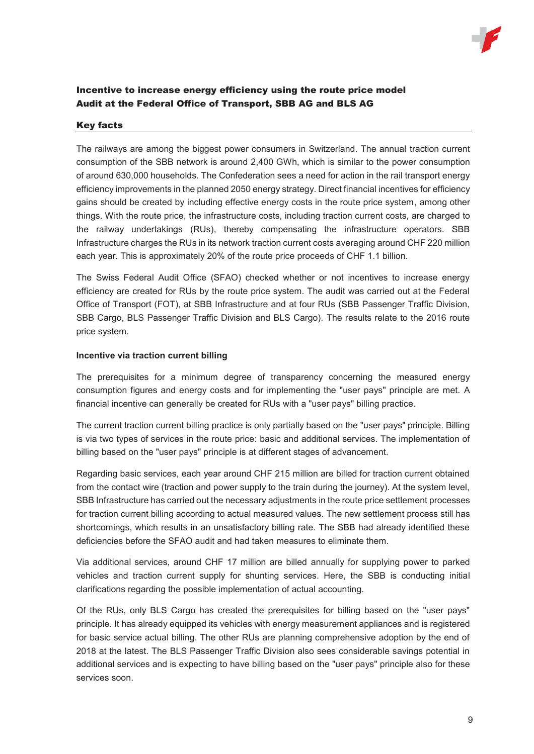

# Incentive to increase energy efficiency using the route price model Audit at the Federal Office of Transport, SBB AG and BLS AG

### Key facts

The railways are among the biggest power consumers in Switzerland. The annual traction current consumption of the SBB network is around 2,400 GWh, which is similar to the power consumption of around 630,000 households. The Confederation sees a need for action in the rail transport energy efficiency improvements in the planned 2050 energy strategy. Direct financial incentives for efficiency gains should be created by including effective energy costs in the route price system, among other things. With the route price, the infrastructure costs, including traction current costs, are charged to the railway undertakings (RUs), thereby compensating the infrastructure operators. SBB Infrastructure charges the RUs in its network traction current costs averaging around CHF 220 million each year. This is approximately 20% of the route price proceeds of CHF 1.1 billion.

The Swiss Federal Audit Office (SFAO) checked whether or not incentives to increase energy efficiency are created for RUs by the route price system. The audit was carried out at the Federal Office of Transport (FOT), at SBB Infrastructure and at four RUs (SBB Passenger Traffic Division, SBB Cargo, BLS Passenger Traffic Division and BLS Cargo). The results relate to the 2016 route price system.

### **Incentive via traction current billing**

The prerequisites for a minimum degree of transparency concerning the measured energy consumption figures and energy costs and for implementing the "user pays" principle are met. A financial incentive can generally be created for RUs with a "user pays" billing practice.

The current traction current billing practice is only partially based on the "user pays" principle. Billing is via two types of services in the route price: basic and additional services. The implementation of billing based on the "user pays" principle is at different stages of advancement.

Regarding basic services, each year around CHF 215 million are billed for traction current obtained from the contact wire (traction and power supply to the train during the journey). At the system level, SBB Infrastructure has carried out the necessary adjustments in the route price settlement processes for traction current billing according to actual measured values. The new settlement process still has shortcomings, which results in an unsatisfactory billing rate. The SBB had already identified these deficiencies before the SFAO audit and had taken measures to eliminate them.

Via additional services, around CHF 17 million are billed annually for supplying power to parked vehicles and traction current supply for shunting services. Here, the SBB is conducting initial clarifications regarding the possible implementation of actual accounting.

Of the RUs, only BLS Cargo has created the prerequisites for billing based on the "user pays" principle. It has already equipped its vehicles with energy measurement appliances and is registered for basic service actual billing. The other RUs are planning comprehensive adoption by the end of 2018 at the latest. The BLS Passenger Traffic Division also sees considerable savings potential in additional services and is expecting to have billing based on the "user pays" principle also for these services soon.